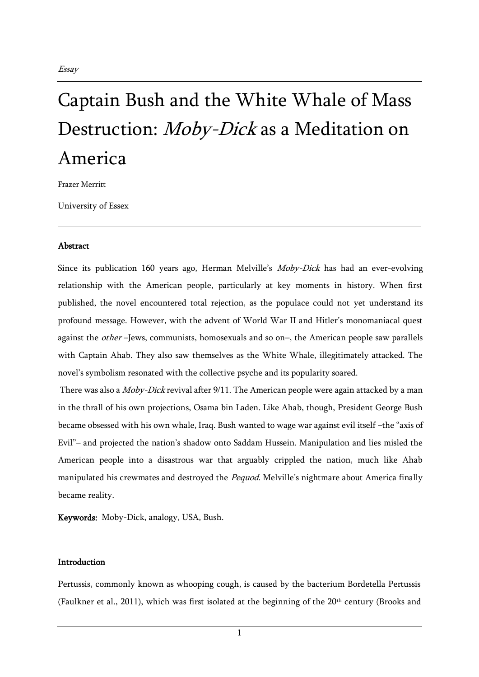# Captain Bush and the White Whale of Mass Destruction: *Moby-Dick* as a Meditation on America

Frazer Merritt

University of Essex

### Abstract

Since its publication 160 years ago, Herman Melville's Moby-Dick has had an ever-evolving relationship with the American people, particularly at key moments in history. When first published, the novel encountered total rejection, as the populace could not yet understand its profound message. However, with the advent of World War II and Hitler's monomaniacal quest against the *other* -Jews, communists, homosexuals and so on-, the American people saw parallels with Captain Ahab. They also saw themselves as the White Whale, illegitimately attacked. The novel's symbolism resonated with the collective psyche and its popularity soared.

There was also a *Moby-Dick* revival after 9/11. The American people were again attacked by a man in the thrall of his own projections, Osama bin Laden. Like Ahab, though, President George Bush became obsessed with his own whale, Iraq. Bush wanted to wage war against evil itself –the "axis of Evil"– and projected the nation's shadow onto Saddam Hussein. Manipulation and lies misled the American people into a disastrous war that arguably crippled the nation, much like Ahab manipulated his crewmates and destroyed the Pequod. Melville's nightmare about America finally became reality.

Keywords: Moby-Dick, analogy, USA, Bush.

#### Introduction

Pertussis, commonly known as whooping cough, is caused by the bacterium Bordetella Pertussis (Faulkner et al., 2011), which was first isolated at the beginning of the 20<sup>th</sup> century (Brooks and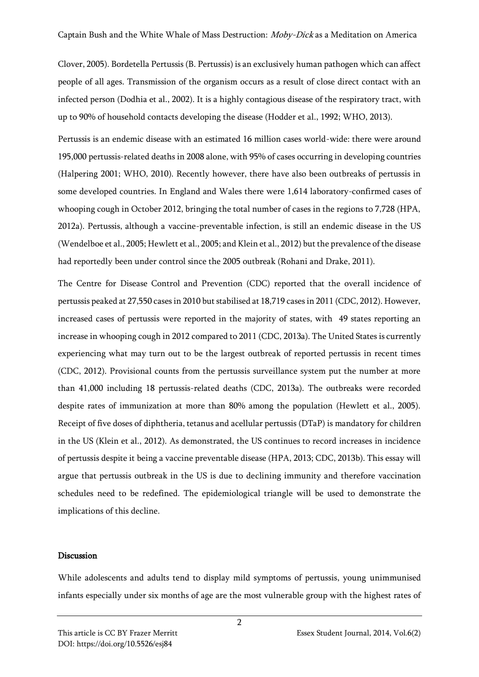Clover, 2005). Bordetella Pertussis (B. Pertussis) is an exclusively human pathogen which can affect people of all ages. Transmission of the organism occurs as a result of close direct contact with an infected person (Dodhia et al., 2002). It is a highly contagious disease of the respiratory tract, with up to 90% of household contacts developing the disease (Hodder et al., 1992; WHO, 2013).

Pertussis is an endemic disease with an estimated 16 million cases world-wide: there were around 195,000 pertussis-related deaths in 2008 alone, with 95% of cases occurring in developing countries (Halpering 2001; WHO, 2010). Recently however, there have also been outbreaks of pertussis in some developed countries. In England and Wales there were 1,614 laboratory-confirmed cases of whooping cough in October 2012, bringing the total number of cases in the regions to 7,728 (HPA, 2012a). Pertussis, although a vaccine-preventable infection, is still an endemic disease in the US (Wendelboe et al., 2005; Hewlett et al., 2005; and Klein et al., 2012) but the prevalence of the disease had reportedly been under control since the 2005 outbreak (Rohani and Drake, 2011).

The Centre for Disease Control and Prevention (CDC) reported that the overall incidence of pertussis peaked at 27,550 cases in 2010 but stabilised at 18,719 cases in 2011 (CDC, 2012). However, increased cases of pertussis were reported in the majority of states, with 49 states reporting an increase in whooping cough in 2012 compared to 2011 (CDC, 2013a). The United States is currently experiencing what may turn out to be the largest outbreak of reported pertussis in recent times (CDC, 2012). Provisional counts from the pertussis surveillance system put the number at more than 41,000 including 18 pertussis-related deaths (CDC, 2013a). The outbreaks were recorded despite rates of immunization at more than 80% among the population (Hewlett et al., 2005). Receipt of five doses of diphtheria, tetanus and acellular pertussis (DTaP) is mandatory for children in the US (Klein et al., 2012). As demonstrated, the US continues to record increases in incidence of pertussis despite it being a vaccine preventable disease (HPA, 2013; CDC, 2013b). This essay will argue that pertussis outbreak in the US is due to declining immunity and therefore vaccination schedules need to be redefined. The epidemiological triangle will be used to demonstrate the implications of this decline.

## Discussion

While adolescents and adults tend to display mild symptoms of pertussis, young unimmunised infants especially under six months of age are the most vulnerable group with the highest rates of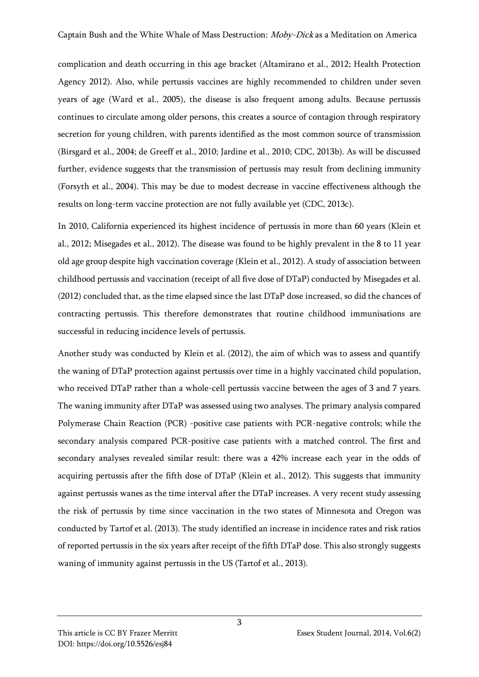complication and death occurring in this age bracket (Altamirano et al., 2012; Health Protection Agency 2012). Also, while pertussis vaccines are highly recommended to children under seven years of age (Ward et al., 2005), the disease is also frequent among adults. Because pertussis continues to circulate among older persons, this creates a source of contagion through respiratory secretion for young children, with parents identified as the most common source of transmission (Birsgard et al., 2004; de Greeff et al., 2010; Jardine et al., 2010; CDC, 2013b). As will be discussed further, evidence suggests that the transmission of pertussis may result from declining immunity (Forsyth et al., 2004). This may be due to modest decrease in vaccine effectiveness although the results on long-term vaccine protection are not fully available yet (CDC, 2013c).

In 2010, California experienced its highest incidence of pertussis in more than 60 years (Klein et al., 2012; Misegades et al., 2012). The disease was found to be highly prevalent in the 8 to 11 year old age group despite high vaccination coverage (Klein et al., 2012). A study of association between childhood pertussis and vaccination (receipt of all five dose of DTaP) conducted by Misegades et al. (2012) concluded that, as the time elapsed since the last DTaP dose increased, so did the chances of contracting pertussis. This therefore demonstrates that routine childhood immunisations are successful in reducing incidence levels of pertussis.

Another study was conducted by Klein et al. (2012), the aim of which was to assess and quantify the waning of DTaP protection against pertussis over time in a highly vaccinated child population, who received DTaP rather than a whole-cell pertussis vaccine between the ages of 3 and 7 years. The waning immunity after DTaP was assessed using two analyses. The primary analysis compared Polymerase Chain Reaction (PCR) -positive case patients with PCR-negative controls; while the secondary analysis compared PCR-positive case patients with a matched control. The first and secondary analyses revealed similar result: there was a 42% increase each year in the odds of acquiring pertussis after the fifth dose of DTaP (Klein et al., 2012). This suggests that immunity against pertussis wanes as the time interval after the DTaP increases. A very recent study assessing the risk of pertussis by time since vaccination in the two states of Minnesota and Oregon was conducted by Tartof et al. (2013). The study identified an increase in incidence rates and risk ratios of reported pertussis in the six years after receipt of the fifth DTaP dose. This also strongly suggests waning of immunity against pertussis in the US (Tartof et al., 2013).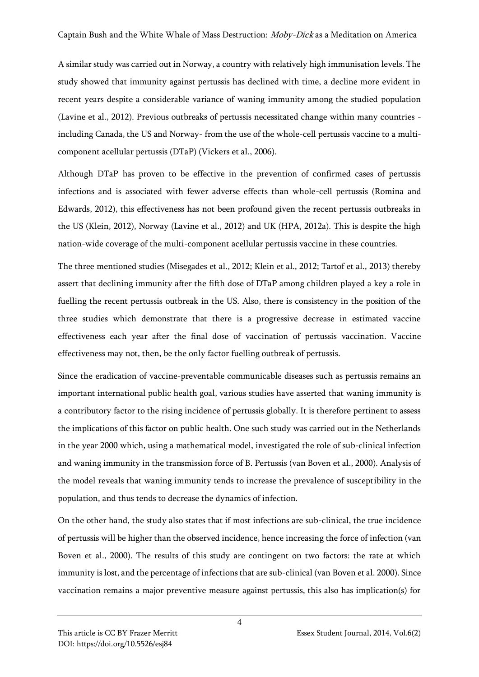A similar study was carried out in Norway, a country with relatively high immunisation levels. The study showed that immunity against pertussis has declined with time, a decline more evident in recent years despite a considerable variance of waning immunity among the studied population (Lavine et al., 2012). Previous outbreaks of pertussis necessitated change within many countries including Canada, the US and Norway- from the use of the whole-cell pertussis vaccine to a multicomponent acellular pertussis (DTaP) (Vickers et al., 2006).

Although DTaP has proven to be effective in the prevention of confirmed cases of pertussis infections and is associated with fewer adverse effects than whole-cell pertussis (Romina and Edwards, 2012), this effectiveness has not been profound given the recent pertussis outbreaks in the US (Klein, 2012), Norway (Lavine et al., 2012) and UK (HPA, 2012a). This is despite the high nation-wide coverage of the multi-component acellular pertussis vaccine in these countries.

The three mentioned studies (Misegades et al., 2012; Klein et al., 2012; Tartof et al., 2013) thereby assert that declining immunity after the fifth dose of DTaP among children played a key a role in fuelling the recent pertussis outbreak in the US. Also, there is consistency in the position of the three studies which demonstrate that there is a progressive decrease in estimated vaccine effectiveness each year after the final dose of vaccination of pertussis vaccination. Vaccine effectiveness may not, then, be the only factor fuelling outbreak of pertussis.

Since the eradication of vaccine-preventable communicable diseases such as pertussis remains an important international public health goal, various studies have asserted that waning immunity is a contributory factor to the rising incidence of pertussis globally. It is therefore pertinent to assess the implications of this factor on public health. One such study was carried out in the Netherlands in the year 2000 which, using a mathematical model, investigated the role of sub-clinical infection and waning immunity in the transmission force of B. Pertussis (van Boven et al., 2000). Analysis of the model reveals that waning immunity tends to increase the prevalence of susceptibility in the population, and thus tends to decrease the dynamics of infection.

On the other hand, the study also states that if most infections are sub-clinical, the true incidence of pertussis will be higher than the observed incidence, hence increasing the force of infection (van Boven et al., 2000). The results of this study are contingent on two factors: the rate at which immunity is lost, and the percentage of infections that are sub-clinical (van Boven et al. 2000). Since vaccination remains a major preventive measure against pertussis, this also has implication(s) for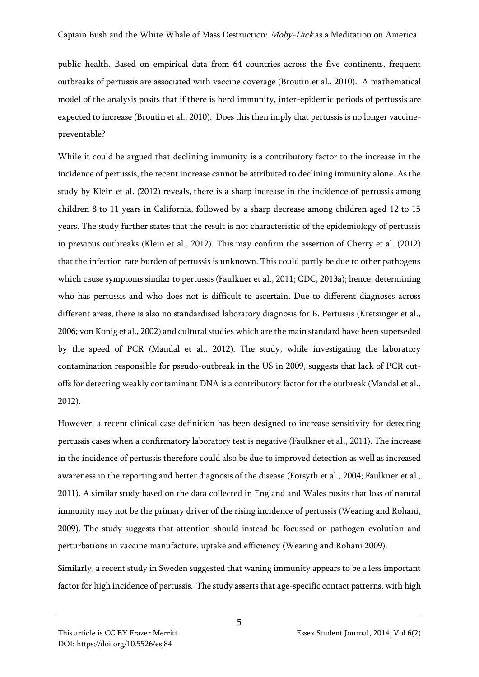public health. Based on empirical data from 64 countries across the five continents, frequent outbreaks of pertussis are associated with vaccine coverage (Broutin et al., 2010). A mathematical model of the analysis posits that if there is herd immunity, inter-epidemic periods of pertussis are expected to increase (Broutin et al., 2010). Does this then imply that pertussis is no longer vaccinepreventable?

While it could be argued that declining immunity is a contributory factor to the increase in the incidence of pertussis, the recent increase cannot be attributed to declining immunity alone. As the study by Klein et al. (2012) reveals, there is a sharp increase in the incidence of pertussis among children 8 to 11 years in California, followed by a sharp decrease among children aged 12 to 15 years. The study further states that the result is not characteristic of the epidemiology of pertussis in previous outbreaks (Klein et al., 2012). This may confirm the assertion of Cherry et al. (2012) that the infection rate burden of pertussis is unknown. This could partly be due to other pathogens which cause symptoms similar to pertussis (Faulkner et al., 2011; CDC, 2013a); hence, determining who has pertussis and who does not is difficult to ascertain. Due to different diagnoses across different areas, there is also no standardised laboratory diagnosis for B. Pertussis (Kretsinger et al., 2006; von Konig et al., 2002) and cultural studies which are the main standard have been superseded by the speed of PCR (Mandal et al., 2012). The study, while investigating the laboratory contamination responsible for pseudo-outbreak in the US in 2009, suggests that lack of PCR cutoffs for detecting weakly contaminant DNA is a contributory factor for the outbreak (Mandal et al., 2012).

However, a recent clinical case definition has been designed to increase sensitivity for detecting pertussis cases when a confirmatory laboratory test is negative (Faulkner et al., 2011). The increase in the incidence of pertussis therefore could also be due to improved detection as well as increased awareness in the reporting and better diagnosis of the disease (Forsyth et al., 2004; Faulkner et al., 2011). A similar study based on the data collected in England and Wales posits that loss of natural immunity may not be the primary driver of the rising incidence of pertussis (Wearing and Rohani, 2009). The study suggests that attention should instead be focussed on pathogen evolution and perturbations in vaccine manufacture, uptake and efficiency (Wearing and Rohani 2009).

Similarly, a recent study in Sweden suggested that waning immunity appears to be a less important factor for high incidence of pertussis. The study asserts that age-specific contact patterns, with high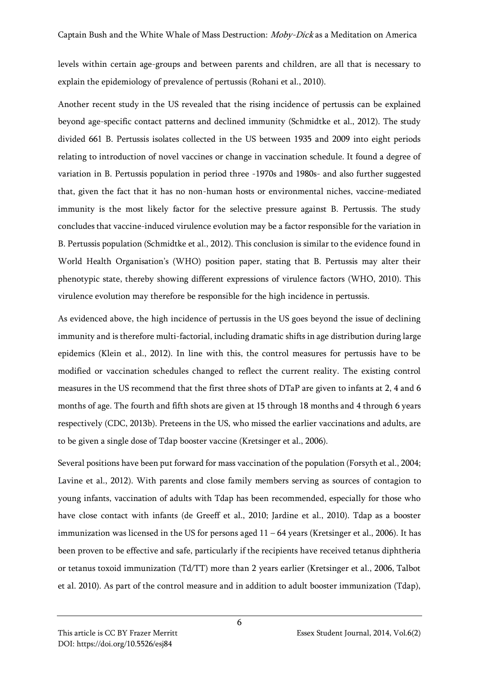levels within certain age-groups and between parents and children, are all that is necessary to explain the epidemiology of prevalence of pertussis (Rohani et al., 2010).

Another recent study in the US revealed that the rising incidence of pertussis can be explained beyond age-specific contact patterns and declined immunity (Schmidtke et al., 2012). The study divided 661 B. Pertussis isolates collected in the US between 1935 and 2009 into eight periods relating to introduction of novel vaccines or change in vaccination schedule. It found a degree of variation in B. Pertussis population in period three -1970s and 1980s- and also further suggested that, given the fact that it has no non-human hosts or environmental niches, vaccine-mediated immunity is the most likely factor for the selective pressure against B. Pertussis. The study concludes that vaccine-induced virulence evolution may be a factor responsible for the variation in B. Pertussis population (Schmidtke et al., 2012). This conclusion is similar to the evidence found in World Health Organisation's (WHO) position paper, stating that B. Pertussis may alter their phenotypic state, thereby showing different expressions of virulence factors (WHO, 2010). This virulence evolution may therefore be responsible for the high incidence in pertussis.

As evidenced above, the high incidence of pertussis in the US goes beyond the issue of declining immunity and is therefore multi-factorial, including dramatic shifts in age distribution during large epidemics (Klein et al., 2012). In line with this, the control measures for pertussis have to be modified or vaccination schedules changed to reflect the current reality. The existing control measures in the US recommend that the first three shots of DTaP are given to infants at 2, 4 and 6 months of age. The fourth and fifth shots are given at 15 through 18 months and 4 through 6 years respectively (CDC, 2013b). Preteens in the US, who missed the earlier vaccinations and adults, are to be given a single dose of Tdap booster vaccine (Kretsinger et al., 2006).

Several positions have been put forward for mass vaccination of the population (Forsyth et al., 2004; Lavine et al., 2012). With parents and close family members serving as sources of contagion to young infants, vaccination of adults with Tdap has been recommended, especially for those who have close contact with infants (de Greeff et al., 2010; Jardine et al., 2010). Tdap as a booster immunization was licensed in the US for persons aged 11 – 64 years (Kretsinger et al., 2006). It has been proven to be effective and safe, particularly if the recipients have received tetanus diphtheria or tetanus toxoid immunization (Td/TT) more than 2 years earlier (Kretsinger et al., 2006, Talbot et al. 2010). As part of the control measure and in addition to adult booster immunization (Tdap),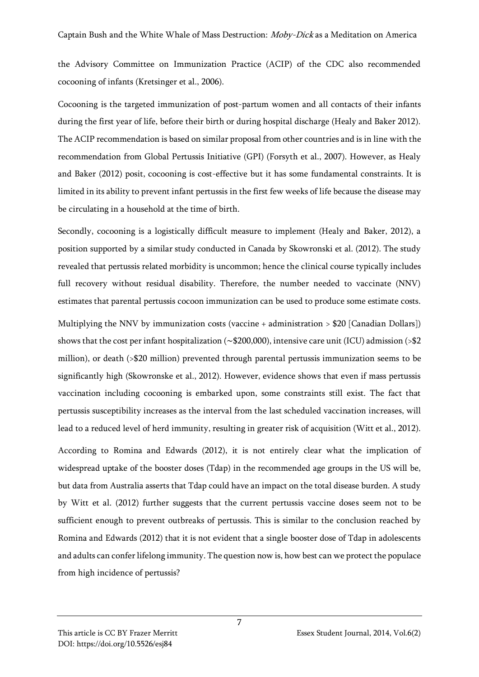the Advisory Committee on Immunization Practice (ACIP) of the CDC also recommended cocooning of infants (Kretsinger et al., 2006).

Cocooning is the targeted immunization of post-partum women and all contacts of their infants during the first year of life, before their birth or during hospital discharge (Healy and Baker 2012). The ACIP recommendation is based on similar proposal from other countries and is in line with the recommendation from Global Pertussis Initiative (GPI) (Forsyth et al., 2007). However, as Healy and Baker (2012) posit, cocooning is cost-effective but it has some fundamental constraints. It is limited in its ability to prevent infant pertussis in the first few weeks of life because the disease may be circulating in a household at the time of birth.

Secondly, cocooning is a logistically difficult measure to implement (Healy and Baker, 2012), a position supported by a similar study conducted in Canada by Skowronski et al. (2012). The study revealed that pertussis related morbidity is uncommon; hence the clinical course typically includes full recovery without residual disability. Therefore, the number needed to vaccinate (NNV) estimates that parental pertussis cocoon immunization can be used to produce some estimate costs.

Multiplying the NNV by immunization costs (vaccine + administration > \$20 [Canadian Dollars]) shows that the cost per infant hospitalization (∼\$200,000), intensive care unit (ICU) admission (>\$2 million), or death (>\$20 million) prevented through parental pertussis immunization seems to be significantly high (Skowronske et al., 2012). However, evidence shows that even if mass pertussis vaccination including cocooning is embarked upon, some constraints still exist. The fact that pertussis susceptibility increases as the interval from the last scheduled vaccination increases, will lead to a reduced level of herd immunity, resulting in greater risk of acquisition (Witt et al., 2012).

According to Romina and Edwards (2012), it is not entirely clear what the implication of widespread uptake of the booster doses (Tdap) in the recommended age groups in the US will be, but data from Australia asserts that Tdap could have an impact on the total disease burden. A study by Witt et al. (2012) further suggests that the current pertussis vaccine doses seem not to be sufficient enough to prevent outbreaks of pertussis. This is similar to the conclusion reached by Romina and Edwards (2012) that it is not evident that a single booster dose of Tdap in adolescents and adults can confer lifelong immunity. The question now is, how best can we protect the populace from high incidence of pertussis?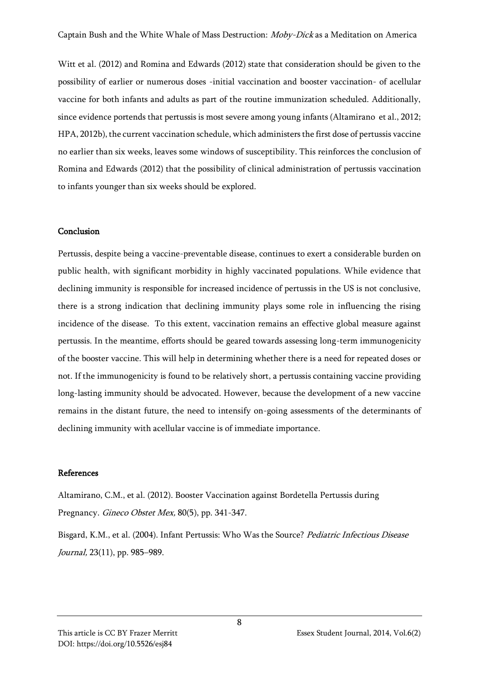Witt et al. (2012) and Romina and Edwards (2012) state that consideration should be given to the possibility of earlier or numerous doses -initial vaccination and booster vaccination- of acellular vaccine for both infants and adults as part of the routine immunization scheduled. Additionally, since evidence portends that pertussis is most severe among young infants (Altamirano et al., 2012; HPA, 2012b), the current vaccination schedule, which administers the first dose of pertussis vaccine no earlier than six weeks, leaves some windows of susceptibility. This reinforces the conclusion of Romina and Edwards (2012) that the possibility of clinical administration of pertussis vaccination to infants younger than six weeks should be explored.

#### Conclusion

Pertussis, despite being a vaccine-preventable disease, continues to exert a considerable burden on public health, with significant morbidity in highly vaccinated populations. While evidence that declining immunity is responsible for increased incidence of pertussis in the US is not conclusive, there is a strong indication that declining immunity plays some role in influencing the rising incidence of the disease. To this extent, vaccination remains an effective global measure against pertussis. In the meantime, efforts should be geared towards assessing long-term immunogenicity of the booster vaccine. This will help in determining whether there is a need for repeated doses or not. If the immunogenicity is found to be relatively short, a pertussis containing vaccine providing long-lasting immunity should be advocated. However, because the development of a new vaccine remains in the distant future, the need to intensify on-going assessments of the determinants of declining immunity with acellular vaccine is of immediate importance.

### References

Altamirano, C.M., et al. (2012). Booster Vaccination against Bordetella Pertussis during Pregnancy. Gineco Obstet Mex, 80(5), pp. 341-347.

Bisgard, K.M., et al. (2004). Infant Pertussis: Who Was the Source? Pediatric Infectious Disease Journal, 23(11), pp. 985–989.

# DOI: https://doi.org/10.5526/esj84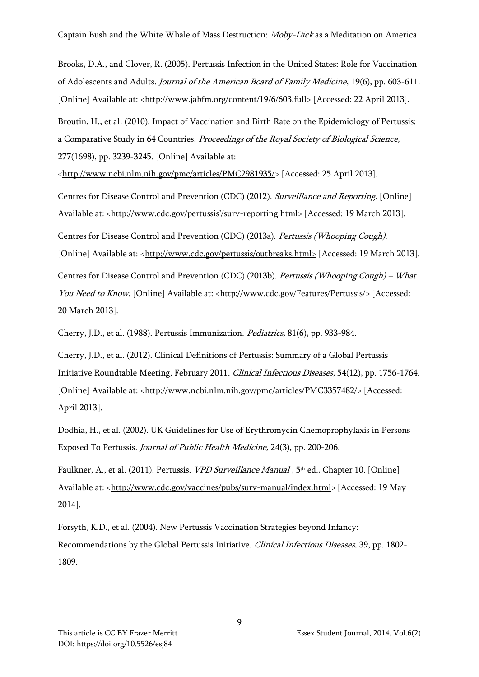Brooks, D.A., and Clover, R. (2005). Pertussis Infection in the United States: Role for Vaccination of Adolescents and Adults. Journal of the American Board of Family Medicine, 19(6), pp. 603-611. [Online] Available at: [<http://www.jabfm.org/content/19/6/603.full>](http://www.jabfm.org/content/19/6/603.full) [Accessed: 22 April 2013].

Broutin, H., et al. (2010). Impact of Vaccination and Birth Rate on the Epidemiology of Pertussis: a Comparative Study in 64 Countries. Proceedings of the Royal Society of Biological Science, 277(1698), pp. 3239-3245. [Online] Available at:

[<http://www.ncbi.nlm.nih.gov/pmc/articles/PMC2981935/>](http://www.ncbi.nlm.nih.gov/pmc/articles/PMC2981935/) [Accessed: 25 April 2013].

Centres for Disease Control and Prevention (CDC) (2012). Surveillance and Reporting. [Online] Available at: <[http://www.cdc.gov/pertussis'/surv](http://www.cdc.gov/pertussis)-reporting.html> [Accessed: 19 March 2013]. Centres for Disease Control and Prevention (CDC) (2013a). Pertussis (Whooping Cough). [Online] Available at: [<http://www.cdc.gov/pertussis/outbreaks.html>](http://www.cdc.gov/pertussis/outbreaks.html) [Accessed: 19 March 2013]. Centres for Disease Control and Prevention (CDC) (2013b). Pertussis (Whooping Cough) – What You Need to Know. [Online] Available at: [<http://www.cdc.gov/Features/Pertussis/>](http://www.cdc.gov/Features/Pertussis/) [Accessed: 20 March 2013].

Cherry, J.D., et al. (1988). Pertussis Immunization. Pediatrics, 81(6), pp. 933-984.

Cherry, J.D., et al. (2012). Clinical Definitions of Pertussis: Summary of a Global Pertussis Initiative Roundtable Meeting, February 2011. Clinical Infectious Diseases, 54(12), pp. 1756-1764. [Online] Available at: [<http://www.ncbi.nlm.nih.gov/pmc/articles/PMC3357482/>](http://www.ncbi.nlm.nih.gov/pmc/articles/PMC3357482/) [Accessed: April 2013].

Dodhia, H., et al. (2002). UK Guidelines for Use of Erythromycin Chemoprophylaxis in Persons Exposed To Pertussis. Journal of Public Health Medicine, 24(3), pp. 200-206.

Faulkner, A., et al. (2011). Pertussis. *VPD Surveillance Manual ,* 5<sup>th</sup> ed., Chapter 10. [Online] Available at: [<http://www.cdc.gov/vaccines/pubs/surv-manual/index.html>](http://www.cdc.gov/vaccines/pubs/surv-manual/index.html) [Accessed: 19 May 2014].

Forsyth, K.D., et al. (2004). New Pertussis Vaccination Strategies beyond Infancy: Recommendations by the Global Pertussis Initiative. Clinical Infectious Diseases, 39, pp. 1802- 1809.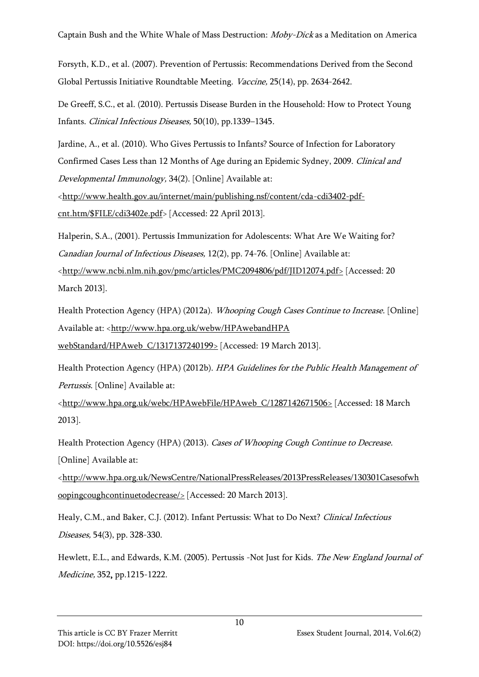Forsyth, K.D., et al. (2007). Prevention of Pertussis: Recommendations Derived from the Second Global Pertussis Initiative Roundtable Meeting. Vaccine, 25(14), pp. 2634-2642.

De Greeff, S.C., et al. (2010). Pertussis Disease Burden in the Household: How to Protect Young Infants. Clinical Infectious Diseases, 50(10), pp.1339–1345.

Jardine, A., et al. (2010). Who Gives Pertussis to Infants? Source of Infection for Laboratory Confirmed Cases Less than 12 Months of Age during an Epidemic Sydney, 2009. Clinical and Developmental Immunology, 34(2). [Online] Available at:

[<http://www.health.gov.au/internet/main/publishing.nsf/content/cda-cdi3402-pdf](http://www.health.gov.au/internet/main/publishing.nsf/content/cda-cdi3402-pdf-cnt.htm/$FILE/cdi3402e.pdf)[cnt.htm/\\$FILE/cdi3402e.pdf>](http://www.health.gov.au/internet/main/publishing.nsf/content/cda-cdi3402-pdf-cnt.htm/$FILE/cdi3402e.pdf) [Accessed: 22 April 2013].

Halperin, S.A., (2001). Pertussis Immunization for Adolescents: What Are We Waiting for? Canadian Journal of Infectious Diseases, 12(2), pp. 74-76. [Online] Available at: [<http://www.ncbi.nlm.nih.gov/pmc/articles/PMC2094806/pdf/JID12074.pdf>](http://www.ncbi.nlm.nih.gov/pmc/articles/PMC2094806/pdf/JID12074.pdf) [Accessed: 20 March 2013].

Health Protection Agency (HPA) (2012a). Whooping Cough Cases Continue to Increase. [Online] Available at: <http://www.hpa.org.uk/webw/HPAwebandHPA [webStandard/HPAweb\\_C/1317137240199>](http://www.hpa.org.uk/webw/HPAwebandHPA%20webStandard/HPAweb_C/1317137240199) [Accessed: 19 March 2013].

Health Protection Agency (HPA) (2012b). HPA Guidelines for the Public Health Management of Pertussis. [Online] Available at:

[<http://www.hpa.org.uk/webc/HPAwebFile/HPAweb\\_C/1287142671506>](http://www.hpa.org.uk/webc/HPAwebFile/HPAweb_C/1287142671506) [Accessed: 18 March] 2013].

Health Protection Agency (HPA) (2013). Cases of Whooping Cough Continue to Decrease. [Online] Available at:

[<http://www.hpa.org.uk/NewsCentre/NationalPressReleases/2013PressReleases/130301Casesofwh](http://www.hpa.org.uk/NewsCentre/NationalPressReleases/2013PressReleases/130301Casesofwhoopingcoughcontinuetodecrease/) [oopingcoughcontinuetodecrease/>](http://www.hpa.org.uk/NewsCentre/NationalPressReleases/2013PressReleases/130301Casesofwhoopingcoughcontinuetodecrease/) [Accessed: 20 March 2013].

Healy, C.M., and Baker, C.J. (2012). Infant Pertussis: What to Do Next? Clinical Infectious Diseases, 54(3), pp. 328-330.

Hewlett, E.L., and Edwards, K.M. (2005). Pertussis -Not Just for Kids. The New England Journal of Medicine, 352, pp.1215-1222.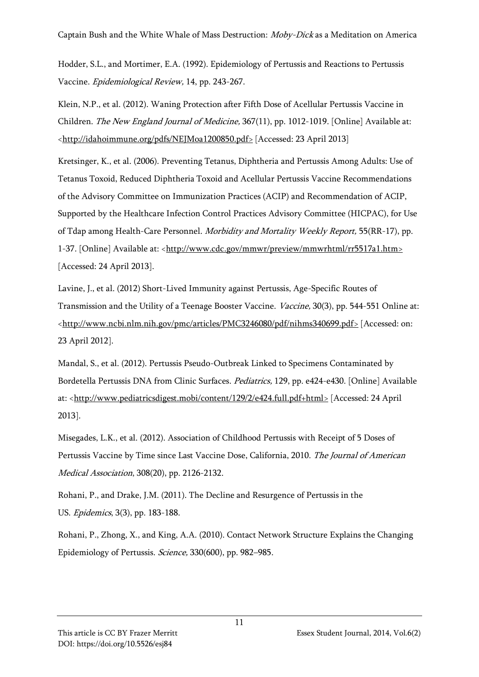Hodder, S.L., and Mortimer, E.A. (1992). Epidemiology of Pertussis and Reactions to Pertussis Vaccine. Epidemiological Review, 14, pp. 243-267.

Klein, N.P., et al. (2012). Waning Protection after Fifth Dose of Acellular Pertussis Vaccine in Children. The New England Journal of Medicine, 367(11), pp. 1012-1019. [Online] Available at: [<http://idahoimmune.org/pdfs/NEJMoa1200850.pdf>](http://idahoimmune.org/pdfs/NEJMoa1200850.pdf) [Accessed: 23 April 2013]

Kretsinger, K., et al. (2006). Preventing Tetanus, Diphtheria and Pertussis Among Adults: Use of Tetanus Toxoid, Reduced Diphtheria Toxoid and Acellular Pertussis Vaccine Recommendations of the Advisory Committee on Immunization Practices (ACIP) and Recommendation of ACIP, Supported by the Healthcare Infection Control Practices Advisory Committee (HICPAC), for Use of Tdap among Health-Care Personnel. Morbidity and Mortality Weekly Report, 55(RR-17), pp. 1-37. [Online] Available at: [<http://www.cdc.gov/mmwr/preview/mmwrhtml/rr5517a1.htm>](http://www.cdc.gov/mmwr/preview/mmwrhtml/rr5517a1.htm) [Accessed: 24 April 2013].

Lavine, J., et al. (2012) Short-Lived Immunity against Pertussis, Age-Specific Routes of Transmission and the Utility of a Teenage Booster Vaccine. Vaccine, 30(3), pp. 544-551 Online at: [<http://www.ncbi.nlm.nih.gov/pmc/articles/PMC3246080/pdf/nihms340699.pdf>](http://www.ncbi.nlm.nih.gov/pmc/articles/PMC3246080/pdf/nihms340699.pdf) [Accessed: on: 23 April 2012].

Mandal, S., et al. (2012). Pertussis Pseudo-Outbreak Linked to Specimens Contaminated by Bordetella Pertussis DNA from Clinic Surfaces. Pediatrics, 129, pp. e424-e430. [Online] Available at: [<http://www.pediatricsdigest.mobi/content/129/2/e424.full.pdf+html>](http://www.pediatricsdigest.mobi/content/129/2/e424.full.pdf+html) [Accessed: 24 April 2013].

Misegades, L.K., et al. (2012). Association of Childhood Pertussis with Receipt of 5 Doses of Pertussis Vaccine by Time since Last Vaccine Dose, California, 2010. The Journal of American Medical Association, 308(20), pp. 2126-2132.

Rohani, P., and Drake, J.M. (2011). The Decline and Resurgence of Pertussis in the US. Epidemics, 3(3), pp. 183-188.

Rohani, P., Zhong, X., and King, A.A. (2010). Contact Network Structure Explains the Changing Epidemiology of Pertussis. Science, 330(600), pp. 982–985.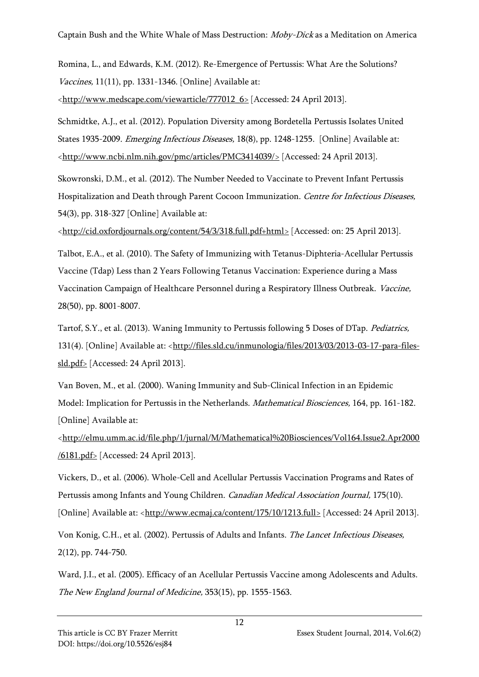Romina, L., and Edwards, K.M. (2012). Re-Emergence of Pertussis: What Are the Solutions? Vaccines, 11(11), pp. 1331-1346. [Online] Available at:

[<http://www.medscape.com/viewarticle/777012\\_6>](http://www.medscape.com/viewarticle/777012_6) [Accessed: 24 April 2013].

Schmidtke, A.J., et al. (2012). Population Diversity among Bordetella Pertussis Isolates United States 1935-2009. *Emerging Infectious Diseases*, 18(8), pp. 1248-1255. [Online] Available at: [<http://www.ncbi.nlm.nih.gov/pmc/articles/PMC3414039/>](http://www.ncbi.nlm.nih.gov/pmc/articles/PMC3414039/) [Accessed: 24 April 2013].

Skowronski, D.M., et al. (2012). The Number Needed to Vaccinate to Prevent Infant Pertussis Hospitalization and Death through Parent Cocoon Immunization. Centre for Infectious Diseases, 54(3), pp. 318-327 [Online] Available at:

[<http://cid.oxfordjournals.org/content/54/3/318.full.pdf+html>](http://cid.oxfordjournals.org/content/54/3/318.full.pdf+html) [Accessed: on: 25 April 2013].

Talbot, E.A., et al. (2010). The Safety of Immunizing with Tetanus-Diphteria-Acellular Pertussis Vaccine (Tdap) Less than 2 Years Following Tetanus Vaccination: Experience during a Mass Vaccination Campaign of Healthcare Personnel during a Respiratory Illness Outbreak. Vaccine, 28(50), pp. 8001-8007.

Tartof, S.Y., et al. (2013). Waning Immunity to Pertussis following 5 Doses of DTap. Pediatrics, 131(4). [Online] Available at: [<http://files.sld.cu/inmunologia/files/2013/03/2013-03-17-para-files](http://files.sld.cu/inmunologia/files/2013/03/2013-03-17-para-files-sld.pdf)[sld.pdf>](http://files.sld.cu/inmunologia/files/2013/03/2013-03-17-para-files-sld.pdf) [Accessed: 24 April 2013].

Van Boven, M., et al. (2000). Waning Immunity and Sub-Clinical Infection in an Epidemic Model: Implication for Pertussis in the Netherlands. Mathematical Biosciences, 164, pp. 161-182. [Online] Available at:

[<http://elmu.umm.ac.id/file.php/1/jurnal/M/Mathematical%20Biosciences/Vol164.Issue2.Apr2000](http://elmu.umm.ac.id/file.php/1/jurnal/M/Mathematical%20Biosciences/Vol164.Issue2.Apr2000/6181.pdf) [/6181.pdf>](http://elmu.umm.ac.id/file.php/1/jurnal/M/Mathematical%20Biosciences/Vol164.Issue2.Apr2000/6181.pdf) [Accessed: 24 April 2013].

Vickers, D., et al. (2006). Whole-Cell and Acellular Pertussis Vaccination Programs and Rates of Pertussis among Infants and Young Children. Canadian Medical Association Journal, 175(10). [Online] Available at: [<http://www.ecmaj.ca/content/175/10/1213.full>](http://www.ecmaj.ca/content/175/10/1213.full) [Accessed: 24 April 2013].

Von Konig, C.H., et al. (2002). Pertussis of Adults and Infants. The Lancet Infectious Diseases, 2(12), pp. 744-750.

Ward, J.I., et al. (2005). Efficacy of an Acellular Pertussis Vaccine among Adolescents and Adults. The New England Journal of Medicine, 353(15), pp. 1555-1563.